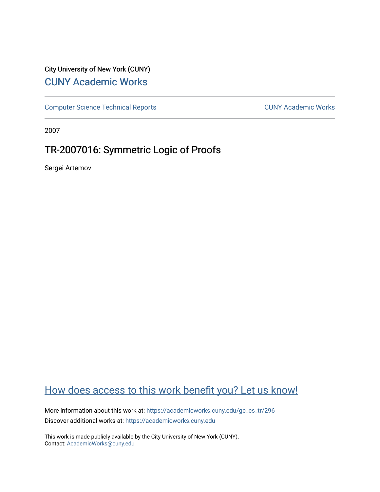# City University of New York (CUNY) [CUNY Academic Works](https://academicworks.cuny.edu/)

[Computer Science Technical Reports](https://academicworks.cuny.edu/gc_cs_tr) **CUNY Academic Works** CUNY Academic Works

2007

# TR-2007016: Symmetric Logic of Proofs

Sergei Artemov

# [How does access to this work benefit you? Let us know!](http://ols.cuny.edu/academicworks/?ref=https://academicworks.cuny.edu/gc_cs_tr/296)

More information about this work at: [https://academicworks.cuny.edu/gc\\_cs\\_tr/296](https://academicworks.cuny.edu/gc_cs_tr/296)  Discover additional works at: [https://academicworks.cuny.edu](https://academicworks.cuny.edu/?)

This work is made publicly available by the City University of New York (CUNY). Contact: [AcademicWorks@cuny.edu](mailto:AcademicWorks@cuny.edu)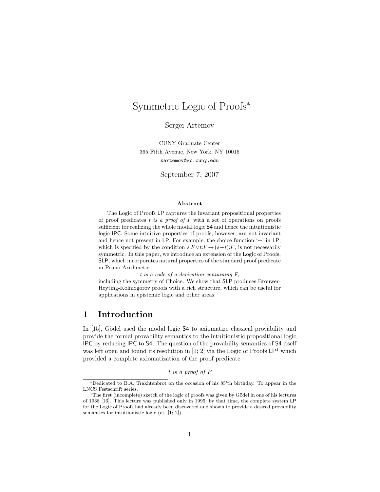# Symmetric Logic of Proofs<sup>∗</sup>

Sergei Artemov

CUNY Graduate Center 365 Fifth Avenue, New York, NY 10016 sartemov@gc.cuny.edu

September 7, 2007

#### Abstract

The Logic of Proofs LP captures the invariant propositional properties of proof predicates t is a proof of  $F$  with a set of operations on proofs sufficient for realizing the whole modal logic S4 and hence the intuitionistic logic IPC. Some intuitive properties of proofs, however, are not invariant and hence not present in LP. For example, the choice function  $+$  in LP, which is specified by the condition  $s: F \vee t: F \rightarrow (s+t): F$ , is not necessarily symmetric. In this paper, we introduce an extension of the Logic of Proofs, SLP, which incorporates natural properties of the standard proof predicate in Peano Arithmetic:

t is a code of a derivation containing F,

including the symmetry of Choice. We show that SLP produces Brouwer-Heyting-Kolmogorov proofs with a rich structure, which can be useful for applications in epistemic logic and other areas.

### 1 Introduction

In  $[15]$ , Gödel used the modal logic S4 to axiomatize classical provability and provide the formal provability semantics to the intuitionistic propositional logic IPC by reducing IPC to S4. The question of the provability semantics of S4 itself was left open and found its resolution in [1; 2] via the Logic of Proofs  $\mathsf{LP}^1$  which provided a complete axiomatization of the proof predicate

t is a proof of F

<sup>∗</sup>Dedicated to B.A. Trakhtenbrot on the occasion of his 85'th birthday. To appear in the LNCS Festschrift series.

<sup>&</sup>lt;sup>1</sup>The first (incomplete) sketch of the logic of proofs was given by Gödel in one of his lectures of 1938 [16]. This lecture was published only in 1995; by that time, the complete system LP for the Logic of Proofs had already been discovered and shown to provide a desired provability semantics for intuitionistic logic (cf. [1; 2]).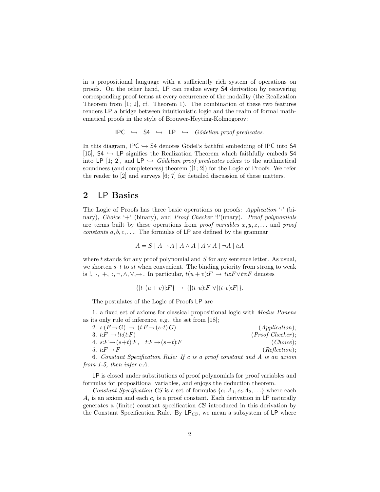in a propositional language with a sufficiently rich system of operations on proofs. On the other hand, LP can realize every S4 derivation by recovering corresponding proof terms at every occurrence of the modality (the Realization Theorem from [1; 2], cf. Theorem 1). The combination of these two features renders LP a bridge between intuitionistic logic and the realm of formal mathematical proofs in the style of Brouwer-Heyting-Kolmogorov:

```
IPC \rightarrow 54 \hookrightarrow LP \hookrightarrow Gödelian proof predicates.
```
In this diagram, IPC  $\hookrightarrow$  S4 denotes Gödel's faithful embedding of IPC into S4 [15],  $S4 \hookrightarrow \mathsf{LP}$  signifies the Realization Theorem which faithfully embeds S4 into LP [1; 2], and LP  $\hookrightarrow$  Gödelian proof predicates refers to the arithmetical soundness (and completeness) theorem  $(1; 2)$  for the Logic of Proofs. We refer the reader to [2] and surveys [6; 7] for detailed discussion of these matters.

## 2 LP Basics

The Logic of Proofs has three basic operations on proofs: Application '·' (binary), Choice '+' (binary), and Proof Checker '!'(unary). Proof polynomials are terms built by these operations from *proof variables*  $x, y, z, \ldots$  and *proof* constants  $a, b, c, \ldots$  The formulas of LP are defined by the grammar

$$
A = S | A \rightarrow A | A \land A | A \lor A | \neg A | t:A
$$

where  $t$  stands for any proof polynomial and  $S$  for any sentence letter. As usual, we shorten  $s \cdot t$  to st when convenient. The binding priority from strong to weak is !,  $\cdot$ ,  $+$ ,  $\cdot$ ,  $\neg$ ,  $\wedge$ ,  $\vee$ ,  $\rightarrow$ . In particular,  $t(u + v): F \rightarrow twF \vee tv: F$  denotes

$$
\{ [t \cdot (u+v)]:F \} \rightarrow \{ [(t \cdot u):F] \vee [(t \cdot v):F] \}
$$

The postulates of the Logic of Proofs LP are

1. a fixed set of axioms for classical propositional logic with Modus Ponens as its only rule of inference, e.g., the set from [18];

| 2. $s:(F\rightarrow G) \rightarrow (t:F\rightarrow (s\cdot t):G)$          | (Application);        |
|----------------------------------------------------------------------------|-----------------------|
| 3. $t: F \rightarrow \mathcal{F}(t: F)$                                    | $(Proof \; Checker);$ |
| 4. $s:F \rightarrow (s+t):F$ , $t:F \rightarrow (s+t):F$                   | (Choice);             |
| 5. $t: F \rightarrow F$                                                    | (Reflection);         |
| 6. Constant Specification Rule: If c is a proof constant and A is an axiom |                       |

from 1-5, then infer  $c:A$ .

LP is closed under substitutions of proof polynomials for proof variables and formulas for propositional variables, and enjoys the deduction theorem.

Constant Specification CS is a set of formulas  $\{c_1: A_1, c_2: A_2, \ldots\}$  where each  $A_i$  is an axiom and each  $c_i$  is a proof constant. Each derivation in LP naturally generates a (finite) constant specification CS introduced in this derivation by the Constant Specification Rule. By  $LP_{CS}$ , we mean a subsystem of LP where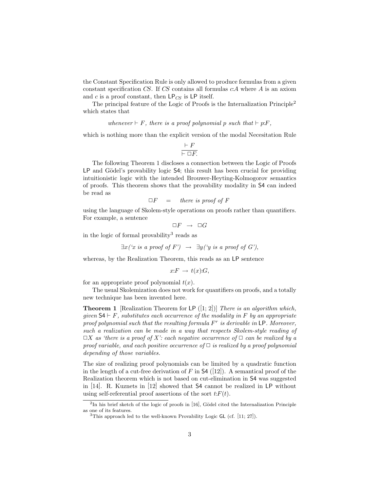the Constant Specification Rule is only allowed to produce formulas from a given constant specification  $CS$ . If  $CS$  contains all formulas  $cA$  where A is an axiom and c is a proof constant, then  $\text{LP}_{CS}$  is LP itself.

The principal feature of the Logic of Proofs is the Internalization Principle<sup>2</sup> which states that

whenever  $\vdash F$ , there is a proof polynomial p such that  $\vdash p:F$ ,

which is nothing more than the explicit version of the modal Necesitation Rule

$$
\frac{\vdash F}{\vdash \Box F.}
$$

The following Theorem 1 discloses a connection between the Logic of Proofs LP and Gödel's provability logic S4; this result has been crucial for providing intuitionistic logic with the intended Brouwer-Heyting-Kolmogorov semantics of proofs. This theorem shows that the provability modality in S4 can indeed be read as

$$
\Box F = there \text{ is proof of } F
$$

using the language of Skolem-style operations on proofs rather than quantifiers. For example, a sentence

$$
\Box F\ \rightarrow\ \Box G
$$

in the logic of formal provability<sup>3</sup> reads as

$$
\exists x (\text{`x is a proof of } F') \rightarrow \exists y (\text{`y is a proof of } G'),
$$

whereas, by the Realization Theorem, this reads as an LP sentence

$$
x: F \to t(x):G,
$$

for an appropriate proof polynomial  $t(x)$ .

The usual Skolemization does not work for quantifiers on proofs, and a totally new technique has been invented here.

**Theorem 1** [Realization Theorem for LP  $([1, 2])$ ] There is an algorithm which, given  $\mathsf{S4} \vdash F$ , substitutes each occurrence of the modality in F by an appropriate proof polynomial such that the resulting formula  $F^r$  is derivable in LP. Moreover, such a realization can be made in a way that respects Skolem-style reading of  $\Box X$  as 'there is a proof of X': each negative occurrence of  $\Box$  can be realized by a proof variable, and each positive occurrence of  $\Box$  is realized by a proof polynomial depending of those variables.

The size of realizing proof polynomials can be limited by a quadratic function in the length of a cut-free derivation of F in  $\mathsf{S4}$  ([12]). A semantical proof of the Realization theorem which is not based on cut-elimination in S4 was suggested in [14]. R. Kuznets in [12] showed that S4 cannot be realized in LP without using self-referential proof assertions of the sort  $t: F(t)$ .

 ${}^{2}\text{In}$  his brief sketch of the logic of proofs in [16], Gödel cited the Internalization Principle as one of its features.

 $3$ This approach led to the well-known Provability Logic GL (cf. [11; 27]).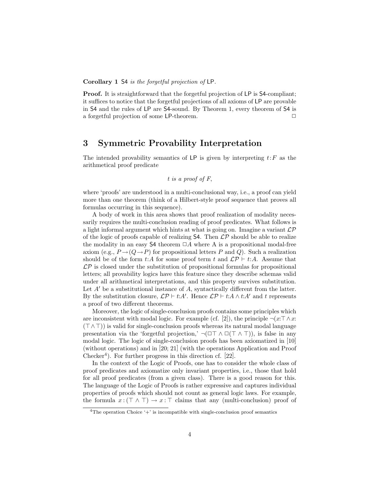Corollary 1 S4 is the forgetful projection of LP.

Proof. It is straightforward that the forgetful projection of LP is S4-compliant; it suffices to notice that the forgetful projections of all axioms of LP are provable in S4 and the rules of LP are S4-sound. By Theorem 1, every theorem of S4 is a forgetful projection of some  $LP$ -theorem.  $\Box$ 

## 3 Symmetric Provability Interpretation

The intended provability semantics of LP is given by interpreting  $t$ : F as the arithmetical proof predicate

t is a proof of F,

where 'proofs' are understood in a multi-conclusional way, i.e., a proof can yield more than one theorem (think of a Hilbert-style proof sequence that proves all formulas occurring in this sequence).

A body of work in this area shows that proof realization of modality necessarily requires the multi-conclusion reading of proof predicates. What follows is a light informal argument which hints at what is going on. Imagine a variant  $\mathcal{LP}$ of the logic of proofs capable of realizing  $\mathsf{S4}$ . Then  $\mathcal{LP}$  should be able to realize the modality in an easy S4 theorem  $\Box A$  where A is a propositional modal-free axiom (e.g.,  $P \rightarrow (Q \rightarrow P)$ ) for propositional letters P and Q). Such a realization should be of the form t:A for some proof term t and  $\mathcal{LP} \vdash t:A$ . Assume that  $\mathcal{LP}$  is closed under the substitution of propositional formulas for propositional letters; all provability logics have this feature since they describe schemas valid under all arithmetical interpretations, and this property survives substitution. Let  $A'$  be a substitutional instance of  $A$ , syntactically different from the latter. By the substitution closure,  $\mathcal{LP} \vdash t:A'$ . Hence  $\mathcal{LP} \vdash t:A \wedge t:A'$  and t represents a proof of two different theorems.

Moreover, the logic of single-conclusion proofs contains some principles which are inconsistent with modal logic. For example (cf. [2]), the principle  $\neg(x:\top \wedge x:$  $(T \wedge T)$ ) is valid for single-conclusion proofs whereas its natural modal language presentation via the 'forgetful projection,'  $\neg(\Box \top \land \Box (\top \land \top))$ , is false in any modal logic. The logic of single-conclusion proofs has been axiomatized in [10] (without operations) and in [20; 21] (with the operations Application and Proof Checker<sup>4</sup>). For further progress in this direction cf.  $[22]$ .

In the context of the Logic of Proofs, one has to consider the whole class of proof predicates and axiomatize only invariant properties, i.e., those that hold for all proof predicates (from a given class). There is a good reason for this. The language of the Logic of Proofs is rather expressive and captures individual properties of proofs which should not count as general logic laws. For example, the formula  $x : (\top \wedge \top) \to x : \top$  claims that any (multi-conclusion) proof of

<sup>&</sup>lt;sup>4</sup>The operation Choice  $+$  is incompatible with single-conclusion proof semantics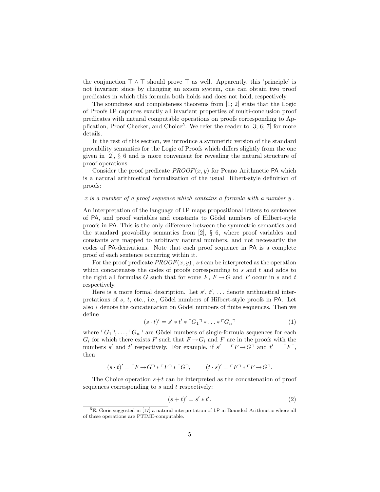the conjunction  $\top \wedge \top$  should prove  $\top$  as well. Apparently, this 'principle' is not invariant since by changing an axiom system, one can obtain two proof predicates in which this formula both holds and does not hold, respectively.

The soundness and completeness theorems from [1; 2] state that the Logic of Proofs LP captures exactly all invariant properties of multi-conclusion proof predicates with natural computable operations on proofs corresponding to Application, Proof Checker, and Choice<sup>5</sup>. We refer the reader to [3; 6; 7] for more details.

In the rest of this section, we introduce a symmetric version of the standard provability semantics for the Logic of Proofs which differs slightly from the one given in [2], § 6 and is more convenient for revealing the natural structure of proof operations.

Consider the proof predicate  $PROOF(x, y)$  for Peano Arithmetic PA which is a natural arithmetical formalization of the usual Hilbert-style definition of proofs:

#### x is a number of a proof sequence which contains a formula with a number y .

An interpretation of the language of LP maps propositional letters to sentences of PA, and proof variables and constants to Gödel numbers of Hilbert-style proofs in PA. This is the only difference between the symmetric semantics and the standard provability semantics from [2],  $\S$  6, where proof variables and constants are mapped to arbitrary natural numbers, and not necessarily the codes of PA-derivations. Note that each proof sequence in PA is a complete proof of each sentence occurring within it.

For the proof predicate  $PROOF(x, y)$ , s.t can be interpreted as the operation which concatenates the codes of proofs corresponding to  $s$  and  $t$  and adds to the right all formulas G such that for some  $F, F \rightarrow G$  and F occur in s and t respectively.

Here is a more formal description. Let  $s', t', \ldots$  denote arithmetical interpretations of  $s, t$ , etc., i.e., Gödel numbers of Hilbert-style proofs in PA. Let also ∗ denote the concatenation on Gödel numbers of finite sequences. Then we define

$$
(s \cdot t)' = s' * t' * \ulcorner G_1 \urcorner * \ldots * \ulcorner G_n \urcorner
$$
\n<sup>(1)</sup>

where  $\ulcorner G_1\urcorner, \ldots, \ulcorner G_n\urcorner$  are Gödel numbers of single-formula sequences for each  $G_i$  for which there exists F such that  $F \rightarrow G_i$  and F are in the proofs with the numbers s' and t' respectively. For example, if  $s' = \ulcorner F \rightarrow G \urcorner$  and  $t' = \ulcorner F \urcorner$ , then

$$
(s \cdot t)' = \ulcorner F \to G \urcorner * \ulcorner F \urcorner * \ulcorner G \urcorner, \qquad (t \cdot s)' = \ulcorner F \urcorner * \ulcorner F \to G \urcorner.
$$

The Choice operation  $s+t$  can be interpreted as the concatenation of proof sequences corresponding to  $s$  and  $t$  respectively:

$$
(s+t)' = s' * t'.\tag{2}
$$

 ${}^{5}E$ . Goris suggested in [17] a natural interpretation of LP in Bounded Arithmetic where all of these operations are PTIME-computable.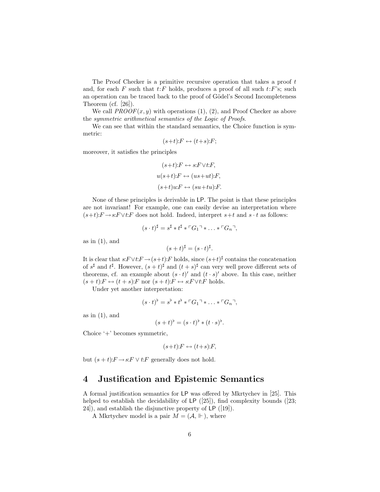The Proof Checker is a primitive recursive operation that takes a proof t and, for each F such that  $t$ :F holds, produces a proof of all such  $t$ :F's; such an operation can be traced back to the proof of Gödel's Second Incompleteness Theorem (cf. [26]).

We call  $PROOF(x, y)$  with operations (1), (2), and Proof Checker as above the symmetric arithmetical semantics of the Logic of Proofs.

We can see that within the standard semantics, the Choice function is symmetric:

$$
(s+t):F \leftrightarrow (t+s):F;
$$

moreover, it satisfies the principles

$$
(s+t):F \leftrightarrow s:F \vee t:F,
$$
  
 
$$
u(s+t):F \leftrightarrow (us+ut):F,
$$
  
 
$$
(s+t)u:F \leftrightarrow (su+tu):F.
$$

None of these principles is derivable in LP. The point is that these principles are not invariant! For example, one can easily devise an interpretation where  $(s+t):F \to s: F \vee t: F$  does not hold. Indeed, interpret  $s+t$  and  $s \cdot t$  as follows:

$$
(s \cdot t)^{\sharp} = s^{\sharp} * t^{\sharp} * \ulcorner G_1 \urcorner * \ldots * \ulcorner G_n \urcorner,
$$

as in  $(1)$ , and

$$
(s+t)^{\sharp} = (s \cdot t)^{\sharp}.
$$

It is clear that  $s: F \vee t: F \to (s+t): F$  holds, since  $(s+t)^{\sharp}$  contains the concatenation of  $s^{\sharp}$  and  $t^{\sharp}$ . However,  $(s+t)^{\sharp}$  and  $(t+s)^{\sharp}$  can very well prove different sets of theorems, cf. an example about  $(s \cdot t)'$  and  $(t \cdot s)'$  above. In this case, neither  $(s + t):F \leftrightarrow (t + s):F$  nor  $(s + t):F \leftrightarrow s:F \vee t:F$  holds.

Under yet another interpretation:

$$
(s \cdot t)^{\flat} = s^{\flat} * t^{\flat} * {}^{\sqcap}G_1 \urcorner * \ldots * {}^{\sqcap}G_n \urcorner,
$$

as in  $(1)$ , and

$$
(s+t)^{\flat} = (s \cdot t)^{\flat} * (t \cdot s)^{\flat}.
$$

Choice '+' becomes symmetric,

$$
(s+t):F \leftrightarrow (t+s):F,
$$

but  $(s + t):F \to s:F \vee t:F$  generally does not hold.

#### 4 Justification and Epistemic Semantics

A formal justification semantics for LP was offered by Mkrtychev in [25]. This helped to establish the decidability of LP  $(25)$ , find complexity bounds  $(23;$ 24]), and establish the disjunctive property of LP ([19]).

A Mkrtychev model is a pair  $M = (\mathcal{A}, \Vdash)$ , where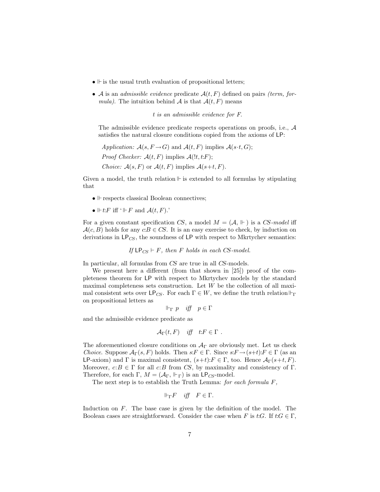- $\bullet \Vdash$  is the usual truth evaluation of propositional letters;
- A is an *admissible evidence* predicate  $A(t, F)$  defined on pairs *(term, for*mula). The intuition behind A is that  $\mathcal{A}(t, F)$  means

t is an admissible evidence for F.

The admissible evidence predicate respects operations on proofs, i.e., A satisfies the natural closure conditions copied from the axioms of LP:

```
Application: A(s, F \rightarrow G) and A(t, F) implies A(s \cdot t, G);
Proof Checker: A(t, F) implies A(l, t: F);
Choice: A(s, F) or A(t, F) implies A(s+t, F).
```
Given a model, the truth relation  $\mathbb F$  is extended to all formulas by stipulating

that

- $\vdash$  respects classical Boolean connectives;
- $\vdash t$ : F iff ' $\vdash$  F and  $\mathcal{A}(t, F)$ .'

For a given constant specification CS, a model  $M = (\mathcal{A}, \Vdash)$  is a CS-model iff  $A(c, B)$  holds for any  $cB \in CS$ . It is an easy exercise to check, by induction on derivations in  $LP_{CS}$ , the soundness of LP with respect to Mkrtychev semantics:

If  $\mathsf{LP}_{CS} \vdash F$ , then F holds in each CS-model.

In particular, all formulas from CS are true in all CS-models.

We present here a different (from that shown in [25]) proof of the completeness theorem for LP with respect to Mkrtychev models by the standard maximal completeness sets construction. Let  $W$  be the collection of all maximal consistent sets over  $\mathsf{LP}_{CS}$ . For each  $\Gamma \in W$ , we define the truth relation  $\Vdash_{\Gamma}$ on propositional letters as

$$
\Vdash_{\Gamma} p \quad \text{iff} \quad p \in \Gamma
$$

and the admissible evidence predicate as

$$
\mathcal{A}_{\Gamma}(t,F) \quad \text{iff} \quad t \colon F \in \Gamma \ .
$$

The aforementioned closure conditions on  $A_{\Gamma}$  are obviously met. Let us check Choice. Suppose  $\mathcal{A}_{\Gamma}(s, F)$  holds. Then  $s: F \in \Gamma$ . Since  $s: F \to (s+t): F \in \Gamma$  (as an LP-axiom) and Γ is maximal consistent,  $(s+t):F \in \Gamma$ , too. Hence  $\mathcal{A}_{\Gamma}(s+t, F)$ . Moreover,  $c:B \in \Gamma$  for all  $c:B$  from CS, by maximality and consistency of  $\Gamma$ . Therefore, for each  $\Gamma$ ,  $M = (\mathcal{A}_{\Gamma}, \Vdash_{\Gamma})$  is an LP<sub>CS</sub>-model.

The next step is to establish the Truth Lemma: for each formula  $F$ ,

$$
\Vdash_{\Gamma} F \quad \text{iff} \quad F \in \Gamma.
$$

Induction on F. The base case is given by the definition of the model. The Boolean cases are straightforward. Consider the case when F is t: $G$ . If  $t:G \in \Gamma$ ,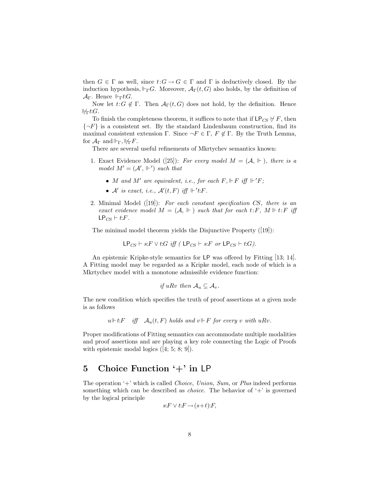then  $G \in \Gamma$  as well, since  $t: G \to G \in \Gamma$  and  $\Gamma$  is deductively closed. By the induction hypothesis,  $\Vdash_{\Gamma} G$ . Moreover,  $\mathcal{A}_{\Gamma}(t, G)$  also holds, by the definition of  $\mathcal{A}_{\Gamma}$ . Hence  $\Vdash_{\Gamma} t$ :*G*.

Now let  $t:G \notin \Gamma$ . Then  $\mathcal{A}_{\Gamma}(t, G)$  does not hold, by the definition. Hence  $H_{\Gamma} t$ :G.

To finish the completeness theorem, it suffices to note that if  $\mathsf{LP}_{CS} \not\vdash F$ , then  $\{\neg F\}$  is a consistent set. By the standard Lindenbaum construction, find its maximal consistent extension Γ. Since  $\neg F \in \Gamma$ ,  $F \notin \Gamma$ . By the Truth Lemma, for  $\mathcal{A}_{\Gamma}$  and  $\Vdash_{\Gamma} \Vdash_{\Gamma} F$ .

There are several useful refinements of Mkrtychev semantics known:

- 1. Exact Evidence Model ([25]): For every model  $M = (\mathcal{A}, \Vdash)$ , there is a model  $M' = (\mathcal{A}', \Vdash')$  such that
	- M and M' are equivalent, i.e., for each  $F, \Vdash F$  iff  $\Vdash' F$ ;
	- A' is exact, i.e.,  $\mathcal{A}'(t, F)$  iff  $\Vdash' t$ : F.
- 2. Minimal Model  $([19])$ : For each constant specification CS, there is an exact evidence model  $M = (\mathcal{A}, \Vdash)$  such that for each  $t: F, M \Vdash t: F$  iff  $\mathsf{LP}_{CS} \vdash t$ :F.

The minimal model theorem yields the Disjunctive Property ([19]):

$$
\mathsf{LP}_{CS} \vdash s:F \lor t:G \text{ iff } (\mathsf{LP}_{CS} \vdash s:F \text{ or } \mathsf{LP}_{CS} \vdash t:G).
$$

An epistemic Kripke-style semantics for LP was offered by Fitting [13; 14]. A Fitting model may be regarded as a Kripke model, each node of which is a Mkrtychev model with a monotone admissible evidence function:

if uRv then 
$$
A_u \subseteq A_v
$$
.

The new condition which specifies the truth of proof assertions at a given node is as follows

 $u \Vdash t$ :  $F$  iff  $\mathcal{A}_u(t, F)$  holds and  $v \Vdash F$  for every v with uRv.

Proper modifications of Fitting semantics can accommodate multiple modalities and proof assertions and are playing a key role connecting the Logic of Proofs with epistemic modal logics  $([4; 5; 8; 9])$ .

## 5 Choice Function '+' in LP

The operation  $+$  which is called *Choice*, *Union*, *Sum*, or *Plus* indeed performs something which can be described as *choice*. The behavior of  $+$  is governed by the logical principle

$$
s: F \vee t: F \to (s+t):F,
$$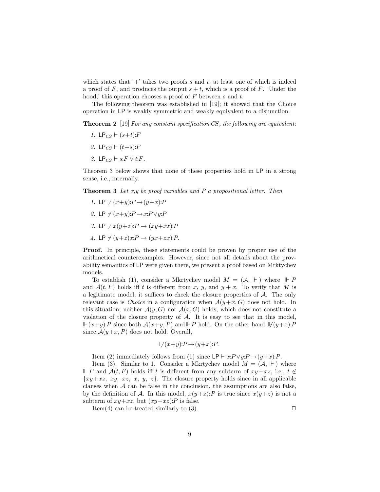which states that '+' takes two proofs s and t, at least one of which is indeed a proof of F, and produces the output  $s + t$ , which is a proof of F. 'Under the hood,' this operation chooses a proof of F between s and t.

The following theorem was established in  $[19]$ ; it showed that the Choice operation in LP is weakly symmetric and weakly equivalent to a disjunction.

**Theorem 2** [19] For any constant specification CS, the following are equivalent:

- 1. LP<sub>CS</sub>  $\vdash$  (s+t):F
- 2. LP<sub>CS</sub>  $\vdash$  (t+s):F
- 3. LP<sub>CS</sub>  $\vdash$  s:F  $\vee$  t:F.

Theorem 3 below shows that none of these properties hold in LP in a strong sense, i.e., internally.

**Theorem 3** Let  $x, y$  be proof variables and  $P$  a propositional letter. Then

- 1. LP  $\forall$   $(x+y):P \rightarrow (y+x):P$
- 2. LP  $\nvdash (x+y):P \rightarrow x:P \vee y:P$
- 3. LP  $\forall x(y+z):P \rightarrow (xy+xz):P$
- 4. LP  $\forall$   $(y+z)x:P \rightarrow (yx+zx):P.$

Proof. In principle, these statements could be proven by proper use of the arithmetical counterexamples. However, since not all details about the provability semantics of LP were given there, we present a proof based on Mrktychev models.

To establish (1), consider a Mkrtychev model  $M = (\mathcal{A}, \Vdash)$  where  $Vdash P$ and  $\mathcal{A}(t, F)$  holds iff t is different from x, y, and  $y + x$ . To verify that M is a legitimate model, it suffices to check the closure properties of A. The only relevant case is *Choice* in a configuration when  $\mathcal{A}(y+x, G)$  does not hold. In this situation, neither  $\mathcal{A}(y, G)$  nor  $\mathcal{A}(x, G)$  holds, which does not constitute a violation of the closure property of  $A$ . It is easy to see that in this model,  $\Vdash (x+y):P$  since both  $\mathcal{A}(x+y,P)$  and  $\Vdash P$  hold. On the other hand,  $\forall (y+x):P$ since  $\mathcal{A}(y+x, P)$  does not hold. Overall,

$$
||f(x+y):P \to (y+x):P.
$$

Item (2) immediately follows from (1) since  $\mathsf{LP} \vdash x : P \lor y : P \to (y+x):P$ .

Item (3). Similar to 1. Consider a Mkrtychev model  $M = (\mathcal{A}, \Vdash)$  where  $\Vdash P$  and  $\mathcal{A}(t, F)$  holds iff t is different from any subterm of  $xy+xz$ , i.e.,  $t \notin \mathcal{A}$  $\{xy+xz, xy, xz, x, y, z\}$ . The closure property holds since in all applicable clauses when  $A$  can be false in the conclusion, the assumptions are also false, by the definition of A. In this model,  $x(y+z):P$  is true since  $x(y+z)$  is not a subterm of  $xy+xz$ , but  $(xy+xz)$ : P is false.

Item(4) can be treated similarly to (3).  $\Box$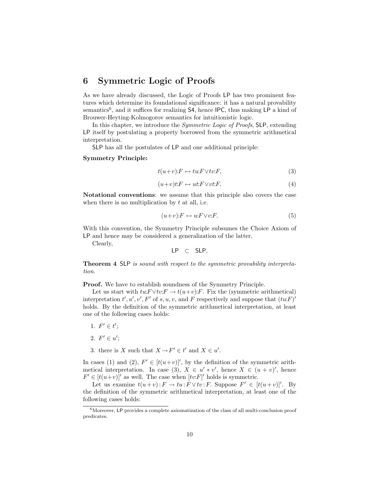## 6 Symmetric Logic of Proofs

As we have already discussed, the Logic of Proofs LP has two prominent features which determine its foundational significance: it has a natural provability semantics<sup>6</sup>, and it suffices for realizing S4, hence IPC, thus making LP a kind of Brouwer-Heyting-Kolmogorov semantics for intuitionistic logic.

In this chapter, we introduce the *Symmetric Logic of Proofs*, SLP, extending LP itself by postulating a property borrowed from the symmetric arithmetical interpretation.

SLP has all the postulates of LP and one additional principle:

#### Symmetry Principle:

$$
t(u+v):F \leftrightarrow tw: F \vee tv:F,
$$
\n(3)

$$
(u+v)t: F \leftrightarrow ut: F \vee vt: F. \tag{4}
$$

Notational conventions: we assume that this principle also covers the case when there is no multiplication by  $t$  at all, i.e.

$$
(u+v):F \leftrightarrow u:F \vee v:F.
$$
 (5)

With this convention, the Symmetry Principle subsumes the Choice Axiom of LP and hence may be considered a generalization of the latter.

Clearly,

$$
LP \ \subset \ \text{SLP}.
$$

Theorem 4 SLP is sound with respect to the symmetric provability interpretation.

Proof. We have to establish soundness of the Symmetry Principle.

Let us start with  $tw: F \vee tv: F \to t(u+v): F$ . Fix the (symmetric arithmetical) interpretation  $t', u', v', F'$  of s, u, v, and F respectively and suppose that  $(tu \cdot F)'$ holds. By the definition of the symmetric arithmetical interpretation, at least one of the following cases holds:

- 1.  $F' \in t'$ ;
- 2.  $F' \in u'$ ;
- 3. there is X such that  $X \to F' \in t'$  and  $X \in u'$ .

In cases (1) and (2),  $F' \in [t(u+v)]'$ , by the definition of the symmetric arithmetical interpretation. In case (3),  $X \in u' * v'$ , hence  $X \in (u + v)'$ , hence  $F' \in [t(u+v)]'$  as well. The case when  $[tv:F]'$  holds is symmetric.

Let us examine  $t(u+v): F \to tu : F \vee tv : F$ . Suppose  $F' \in [t(u+v)]'$ . By the definition of the symmetric arithmetical interpretation, at least one of the following cases holds:

 $6$ Moreover, LP provides a complete axiomatization of the class of all multi-conclusion proof predicates.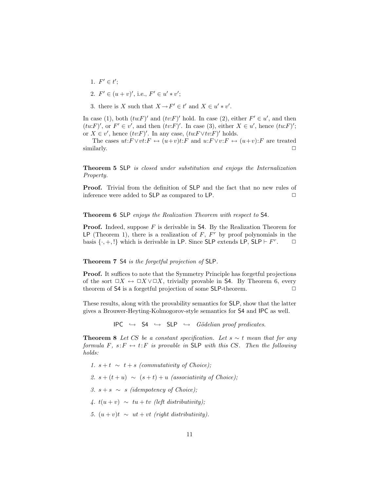- 1.  $F' \in t'$ ;
- 2.  $F' \in (u + v)'$ , i.e.,  $F' \in u' * v'$ ;
- 3. there is X such that  $X \to F' \in t'$  and  $X \in u' * v'$ .

In case (1), both  $(twF)'$  and  $(tvF)'$  hold. In case (2), either  $F' \in u'$ , and then  $(tu:F)'$ , or  $F' \in v'$ , and then  $(tv:F)'$ . In case (3), either  $X \in u'$ , hence  $(tu:F)'$ ; or  $X \in v'$ , hence  $(tv \cdot F)'$ . In any case,  $(tu \cdot F \vee tv \cdot F)'$  holds.

The cases  $ut: F \vee vt: F \leftrightarrow (u+v)t: F$  and  $u: F \vee v: F \leftrightarrow (u+v): F$  are treated  $\Box$  similarly.  $\Box$ 

Theorem 5 SLP is closed under substitution and enjoys the Internalization Property.

Proof. Trivial from the definition of SLP and the fact that no new rules of inference were added to  $SLP$  as compared to  $LP$ .  $\Box$ 

Theorem 6 SLP enjoys the Realization Theorem with respect to S4.

**Proof.** Indeed, suppose  $F$  is derivable in S4. By the Realization Theorem for LP (Theorem 1), there is a realization of  $F, F^r$  by proof polynomials in the basis  $\{\cdot, +, \cdot\}$  which is derivable in LP. Since SLP extends LP, SLP  $\vdash F^r$  $\Box$ 

#### Theorem 7 S4 is the forgetful projection of SLP.

Proof. It suffices to note that the Symmetry Principle has forgetful projections of the sort  $\Box X \leftrightarrow \Box X \lor \Box X$ , trivially provable in S4. By Theorem 6, every theorem of  $\mathsf{S4}$  is a forgetful projection of some  $\mathsf{SLP}\text{-}$  theorem.

These results, along with the provability semantics for SLP, show that the latter gives a Brouwer-Heyting-Kolmogorov-style semantics for S4 and IPC as well.

 $IPC \rightarrow$  54  $\hookrightarrow$  SLP  $\hookrightarrow$  *Gödelian proof predicates.* 

**Theorem 8** Let CS be a constant specification. Let  $s \sim t$  mean that for any formula F,  $s: F \leftrightarrow t: F$  is provable in SLP with this CS. Then the following holds:

1.  $s + t \sim t + s$  (commutativity of Choice); 2.  $s + (t + u) \sim (s + t) + u$  (associativity of Choice); 3.  $s + s \sim s$  (idempotency of Choice); 4.  $t(u + v) \sim tu + tv$  (left distributivity); 5.  $(u + v)t \sim ut + vt$  (right distributivity).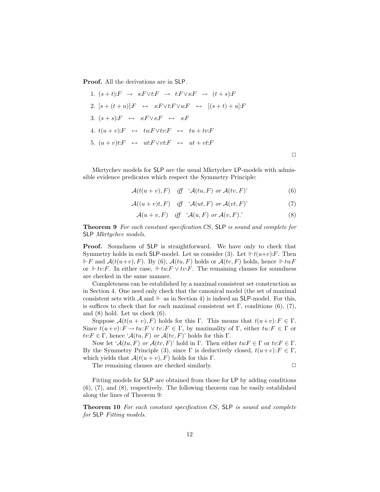Proof. All the derivations are in SLP.

1. 
$$
(s+t):F \rightarrow s:F \lor t:F \rightarrow t:F \lor s:F \rightarrow (t+s):F
$$
  
\n2.  $[s+(t+u)]:F \leftrightarrow s:F \lor t:F \lor u:F \leftrightarrow [(s+t)+u]:F$   
\n3.  $(s+s):F \leftrightarrow s:F \lor s:F \leftrightarrow s:F$   
\n4.  $t(u+v):F \leftrightarrow tu:F \lor tv:F \leftrightarrow tu+tv:F$   
\n5.  $(u+v)t:F \leftrightarrow ut:F \lor vt:F \leftrightarrow ut+vt:F$ 

Mkrtychev models for SLP are the usual Mkrtychev LP-models with admissible evidence predicates which respect the Symmetry Principle:

$$
\mathcal{A}(t(u+v),F) \quad \text{iff} \quad \mathcal{A}(tu,F) \text{ or } \mathcal{A}(tv,F) \tag{6}
$$

$$
\mathcal{A}((u+v)t,F) \quad \text{iff} \quad \mathcal{A}(ut,F) \text{ or } \mathcal{A}(vt,F) \tag{7}
$$

$$
\mathcal{A}(u+v,F) \quad \text{iff} \quad \mathcal{A}(u,F) \text{ or } \mathcal{A}(v,F). \tag{8}
$$

Theorem 9 For each constant specification CS, SLP is sound and complete for SLP Mkrtychev models.

Proof. Soundness of SLP is straightforward. We have only to check that Symmetry holds in each SLP-model. Let us consider (3). Let  $\mathbb{F}t(u+v):F$ . Then  $\mathbb{F} F$  and  $\mathcal{A}(t(u+v), F)$ . By (6),  $\mathcal{A}(tu, F)$  holds or  $\mathcal{A}(tv, F)$  holds, hence  $\mathbb{F} turF$ or  $⊩ tv:$  In either case,  $⊩ tw:$   $\forall tv:$  F. The remaining clauses for soundness are checked in the same manner.

Completeness can be established by a maximal consistent set construction as in Section 4. One need only check that the canonical model (the set of maximal consistent sets with A and  $\mathbb{H}$  as in Section 4) is indeed an SLP-model. For this, is suffices to check that for each maximal consistent set  $\Gamma$ , conditions (6), (7), and (8) hold. Let us check (6).

Suppose  $\mathcal{A}(t(u + v), F)$  holds for this Γ. This means that  $t(u+v): F \in \Gamma$ . Since  $t(u+v): F \to tu: F \lor tv: F \in \Gamma$ , by maximality of  $\Gamma$ , either  $tu: F \in \Gamma$  or  $tv: F \in \Gamma$ , hence ' $\mathcal{A}(tu, F)$  or  $\mathcal{A}(tv, F)$ ' holds for this  $\Gamma$ .

Now let  $\mathcal{A}(tu, F)$  or  $\mathcal{A}(tv, F)$ ' hold in Γ. Then either  $twF \in \Gamma$  or  $tv: F \in \Gamma$ . By the Symmetry Principle (3), since  $\Gamma$  is deductively closed,  $t(u+v): F \in \Gamma$ , which yields that  $\mathcal{A}(t(u + v), F)$  holds for this Γ.

The remaining clauses are checked similarly.  $\Box$ 

 $\Box$ 

Fitting models for SLP are obtained from those for LP by adding conditions (6), (7), and (8), respectively. The following theorem can be easily established along the lines of Theorem 9:

Theorem 10 For each constant specification CS, SLP is sound and complete for SLP Fitting models.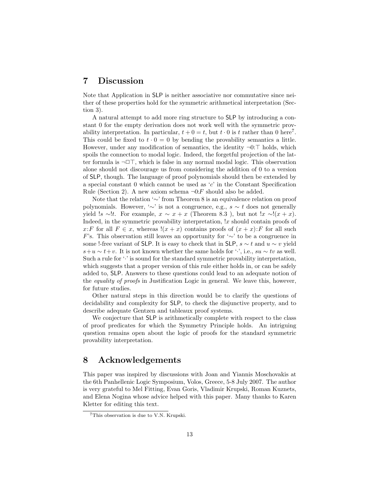### 7 Discussion

Note that Application in SLP is neither associative nor commutative since neither of these properties hold for the symmetric arithmetical interpretation (Section 3).

A natural attempt to add more ring structure to SLP by introducing a constant 0 for the empty derivation does not work well with the symmetric provability interpretation. In particular,  $t + 0 = t$ , but  $t \cdot 0$  is t rather than 0 here<sup>7</sup>. This could be fixed to  $t \cdot 0 = 0$  by bending the provability semantics a little. However, under any modification of semantics, the identity  $\neg 0:\top$  holds, which spoils the connection to modal logic. Indeed, the forgetful projection of the latter formula is  $\neg \Box \top$ , which is false in any normal modal logic. This observation alone should not discourage us from considering the addition of 0 to a version of SLP, though. The language of proof polynomials should then be extended by a special constant  $0$  which cannot be used as  $c'$  in the Constant Specification Rule (Section 2). A new axiom schema  $\neg 0: F$  should also be added.

Note that the relation '∼' from Theorem 8 is an equivalence relation on proof polynomials. However, ' $\sim$ ' is not a congruence, e.g.,  $s \sim t$  does not generally yield !s ∼!t. For example,  $x \sim x + x$  (Theorem 8.3), but not !x ∼! $(x + x)$ . Indeed, in the symmetric provability interpretation,  $x$  should contain proofs of x:F for all  $F \in x$ , whereas  $!(x + x)$  contains proofs of  $(x + x):F$  for all such F's. This observation still leaves an opportunity for  $\sim$ ' to be a congruence in some !-free variant of SLP. It is easy to check that in SLP,  $s \sim t$  and  $u \sim v$  yield  $s+u \sim t+v$ . It is not known whether the same holds for '.', i.e., su  $\sim tv$  as well. Such a rule for  $\cdot \cdot$  is sound for the standard symmetric provability interpretation, which suggests that a proper version of this rule either holds in, or can be safely added to, SLP. Answers to these questions could lead to an adequate notion of the equality of proofs in Justification Logic in general. We leave this, however, for future studies.

Other natural steps in this direction would be to clarify the questions of decidability and complexity for SLP, to check the disjunctive property, and to describe adequate Gentzen and tableaux proof systems.

We conjecture that SLP is arithmetically complete with respect to the class of proof predicates for which the Symmetry Principle holds. An intriguing question remains open about the logic of proofs for the standard symmetric provability interpretation.

## 8 Acknowledgements

This paper was inspired by discussions with Joan and Yiannis Moschovakis at the 6th Panhellenic Logic Symposium, Volos, Greece, 5-8 July 2007. The author is very grateful to Mel Fitting, Evan Goris, Vladimir Krupski, Roman Kuznets, and Elena Nogina whose advice helped with this paper. Many thanks to Karen Kletter for editing this text.

<sup>7</sup>This observation is due to V.N. Krupski.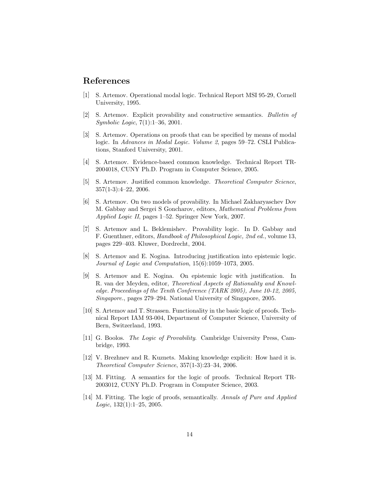### References

- [1] S. Artemov. Operational modal logic. Technical Report MSI 95-29, Cornell University, 1995.
- [2] S. Artemov. Explicit provability and constructive semantics. Bulletin of Symbolic Logic, 7(1):1–36, 2001.
- [3] S. Artemov. Operations on proofs that can be specified by means of modal logic. In Advances in Modal Logic. Volume 2, pages 59–72. CSLI Publications, Stanford University, 2001.
- [4] S. Artemov. Evidence-based common knowledge. Technical Report TR-2004018, CUNY Ph.D. Program in Computer Science, 2005.
- [5] S. Artemov. Justified common knowledge. Theoretical Computer Science, 357(1-3):4–22, 2006.
- [6] S. Artemov. On two models of provability. In Michael Zakharyaschev Dov M. Gabbay and Sergei S Goncharov, editors, Mathematical Problems from Applied Logic II, pages 1–52. Springer New York, 2007.
- [7] S. Artemov and L. Beklemishev. Provability logic. In D. Gabbay and F. Guenthner, editors, Handbook of Philosophical Logic, 2nd ed., volume 13, pages 229–403. Kluwer, Dordrecht, 2004.
- [8] S. Artemov and E. Nogina. Introducing justification into epistemic logic. Journal of Logic and Computation, 15(6):1059–1073, 2005.
- [9] S. Artemov and E. Nogina. On epistemic logic with justification. In R. van der Meyden, editor, Theoretical Aspects of Rationality and Knowledge. Proceedings of the Tenth Conference (TARK 2005), June 10-12, 2005, Singapore., pages 279–294. National University of Singapore, 2005.
- [10] S. Artemov and T. Strassen. Functionality in the basic logic of proofs. Technical Report IAM 93-004, Department of Computer Science, University of Bern, Switzerland, 1993.
- [11] G. Boolos. The Logic of Provability. Cambridge University Press, Cambridge, 1993.
- [12] V. Brezhnev and R. Kuznets. Making knowledge explicit: How hard it is. Theoretical Computer Science, 357(1-3):23–34, 2006.
- [13] M. Fitting. A semantics for the logic of proofs. Technical Report TR-2003012, CUNY Ph.D. Program in Computer Science, 2003.
- [14] M. Fitting. The logic of proofs, semantically. Annals of Pure and Applied Logic,  $132(1):1-25$ ,  $2005$ .